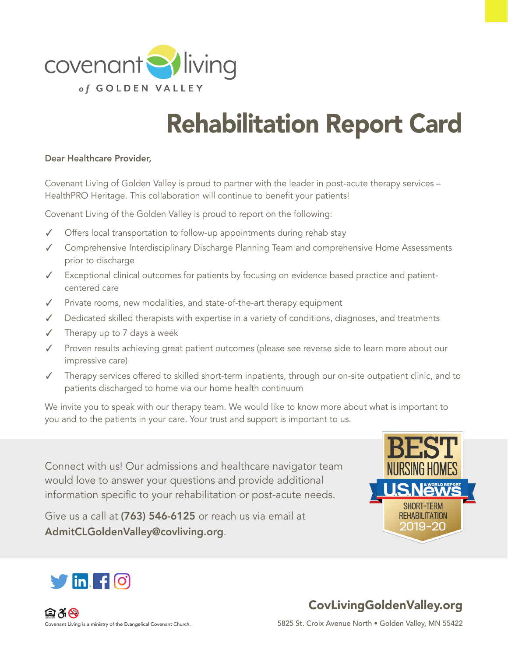

# Rehabilitation Report Card

#### Dear Healthcare Provider,

Covenant Living of Golden Valley is proud to partner with the leader in post-acute therapy services – HealthPRO Heritage. This collaboration will continue to benefit your patients!

Covenant Living of the Golden Valley is proud to report on the following:

- ✓ Offers local transportation to follow-up appointments during rehab stay
- ✓ Comprehensive Interdisciplinary Discharge Planning Team and comprehensive Home Assessments prior to discharge
- Exceptional clinical outcomes for patients by focusing on evidence based practice and patientcentered care
- ✓ Private rooms, new modalities, and state-of-the-art therapy equipment
- ✓ Dedicated skilled therapists with expertise in a variety of conditions, diagnoses, and treatments
- ✓ Therapy up to 7 days a week
- ✓ Proven results achieving great patient outcomes (please see reverse side to learn more about our impressive care)
- ✓ Therapy services offered to skilled short-term inpatients, through our on-site outpatient clinic, and to patients discharged to home via our home health continuum

We invite you to speak with our therapy team. We would like to know more about what is important to you and to the patients in your care. Your trust and support is important to us.

Connect with us! Our admissions and healthcare navigator team would love to answer your questions and provide additional information specific to your rehabilitation or post-acute needs.

Give us a call at (763) 546-6125 or reach us via email at AdmitCLGoldenValley@covliving.org.





CovLivingGoldenValley.org